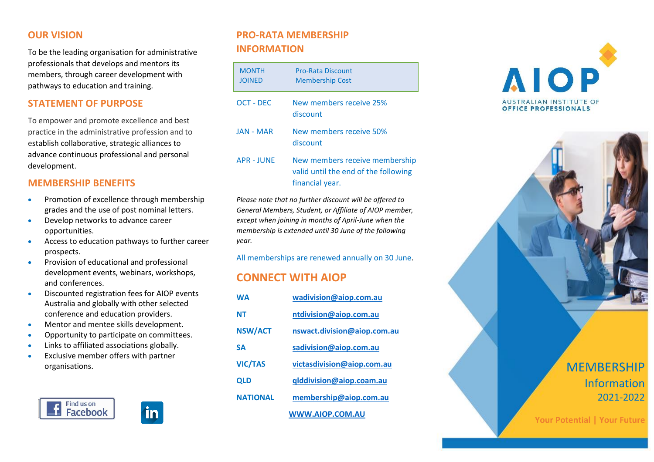### **OUR VISION**

To be the leading organisation for administrative professionals that develops and mentors its members, through career development with pathways to education and training.

## **STATEMENT OF PURPOSE**

To empower and promote excellence and best practice in the administrative profession and to establish collaborative, strategic alliances to advance continuous professional and personal development.

### **MEMBERSHIP BENEFITS**

- Promotion of excellence through membership grades and the use of post nominal letters.
- Develop networks to advance career opportunities.
- Access to education pathways to further career prospects.
- Provision of educational and professional development events, webinars, workshops, and conferences.
- Discounted registration fees for AIOP events Australia and globally with other selected conference and education providers.
- Mentor and mentee skills development.
- Opportunity to participate on committees.
- Links to affiliated associations globally.
- Exclusive member offers with partner organisations.





# **PRO-RATA MEMBERSHIP INFORMATION**

| <b>MONTH</b><br><b>JOINED</b> | Pro-Rata Discount<br><b>Membership Cost</b>                                               |
|-------------------------------|-------------------------------------------------------------------------------------------|
| OCT - DEC                     | New members receive 25%<br>discount                                                       |
| <b>JAN - MAR</b>              | New members receive 50%<br>discount                                                       |
| <b>APR - JUNE</b>             | New members receive membership<br>valid until the end of the following<br>financial year. |

*Please note that no further discount will be offered to General Members, Student, or Affiliate of AIOP member, except when joining in months of April-June when the membership is extended until 30 June of the following year.*

All memberships are renewed annually on 30 June.

# **CONNECT WITH AIOP**

| <b>WA</b>       | wadivision@aiop.com.au      |  |
|-----------------|-----------------------------|--|
| NΤ              | ntdivision@aiop.com.au      |  |
| <b>NSW/ACT</b>  | nswact.division@aiop.com.au |  |
| SΔ              | sadivision@aiop.com.au      |  |
| <b>VIC/TAS</b>  | victasdivision@aiop.com.au  |  |
| <b>QLD</b>      | qlddivision@aiop.coam.au    |  |
| <b>NATIONAL</b> | membership@aiop.com.au      |  |
|                 | WWW.AIOP.COM.AU             |  |